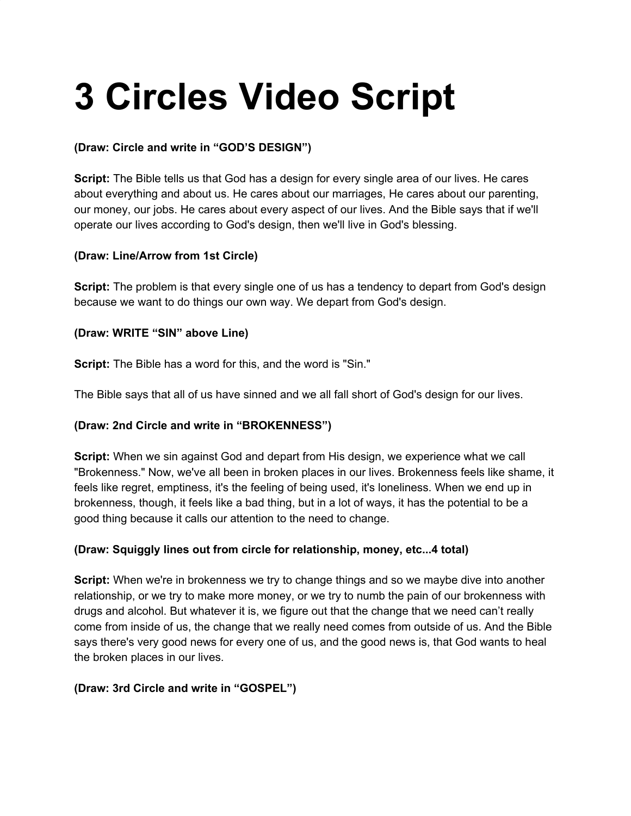# **3 Circles Video Script**

## **(Draw: Circle and write in "GOD'S DESIGN")**

**Script:** The Bible tells us that God has a design for every single area of our lives. He cares about everything and about us. He cares about our marriages, He cares about our parenting, our money, our jobs. He cares about every aspect of our lives. And the Bible says that if we'll operate our lives according to God's design, then we'll live in God's blessing.

### **(Draw: Line/Arrow from 1st Circle)**

**Script:** The problem is that every single one of us has a tendency to depart from God's design because we want to do things our own way. We depart from God's design.

### **(Draw: WRITE "SIN" above Line)**

**Script:** The Bible has a word for this, and the word is "Sin."

The Bible says that all of us have sinned and we all fall short of God's design for our lives.

### **(Draw: 2nd Circle and write in "BROKENNESS")**

**Script:** When we sin against God and depart from His design, we experience what we call "Brokenness." Now, we've all been in broken places in our lives. Brokenness feels like shame, it feels like regret, emptiness, it's the feeling of being used, it's loneliness. When we end up in brokenness, though, it feels like a bad thing, but in a lot of ways, it has the potential to be a good thing because it calls our attention to the need to change.

### **(Draw: Squiggly lines out from circle for relationship, money, etc...4 total)**

**Script:** When we're in brokenness we try to change things and so we maybe dive into another relationship, or we try to make more money, or we try to numb the pain of our brokenness with drugs and alcohol. But whatever it is, we figure out that the change that we need can't really come from inside of us, the change that we really need comes from outside of us. And the Bible says there's very good news for every one of us, and the good news is, that God wants to heal the broken places in our lives.

#### **(Draw: 3rd Circle and write in "GOSPEL")**